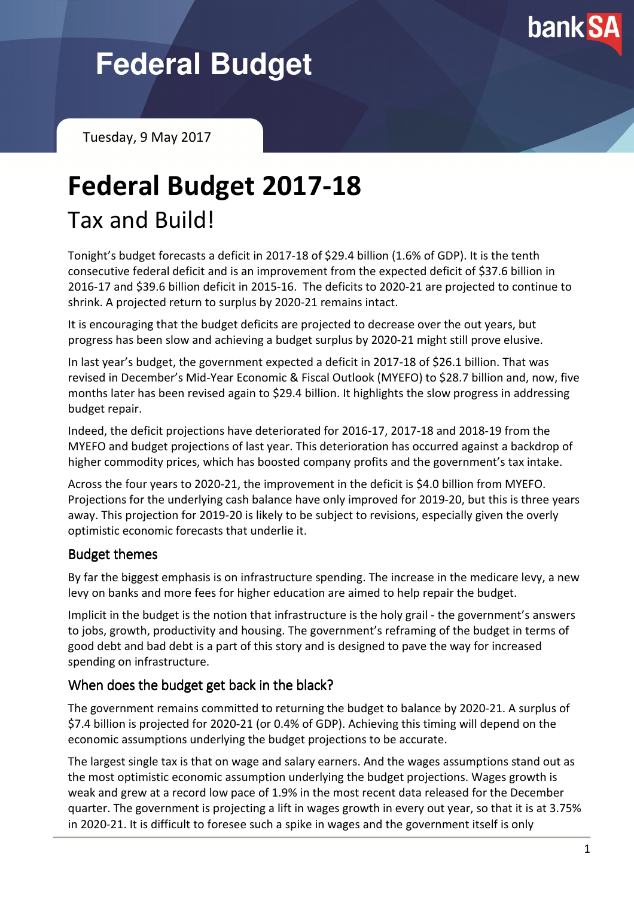

# **Federal Budget**

Tuesday, 9 May 2017

## Federal Budget 2017-18 Tax and Build!

Tonight's budget forecasts a deficit in 2017-18 of \$29.4 billion (1.6% of GDP). It is the tenth consecutive federal deficit and is an improvement from the expected deficit of \$37.6 billion in 2016-17 and \$39.6 billion deficit in 2015-16. The deficits to 2020-21 are projected to continue to shrink. A projected return to surplus by 2020-21 remains intact.

It is encouraging that the budget deficits are projected to decrease over the out years, but progress has been slow and achieving a budget surplus by 2020-21 might still prove elusive.

In last year's budget, the government expected a deficit in 2017-18 of \$26.1 billion. That was revised in December's Mid-Year Economic & Fiscal Outlook (MYEFO) to \$28.7 billion and, now, five months later has been revised again to \$29.4 billion. It highlights the slow progress in addressing budget repair.

Indeed, the deficit projections have deteriorated for 2016-17, 2017-18 and 2018-19 from the MYEFO and budget projections of last year. This deterioration has occurred against a backdrop of higher commodity prices, which has boosted company profits and the government's tax intake.

Across the four years to 2020-21, the improvement in the deficit is \$4.0 billion from MYEFO. Projections for the underlying cash balance have only improved for 2019-20, but this is three years away. This projection for 2019-20 is likely to be subject to revisions, especially given the overly optimistic economic forecasts that underlie it.

#### **Budget themes**

By far the biggest emphasis is on infrastructure spending. The increase in the medicare levy, a new levy on banks and more fees for higher education are aimed to help repair the budget.

Implicit in the budget is the notion that infrastructure is the holy grail - the government's answers to jobs, growth, productivity and housing. The government's reframing of the budget in terms of good debt and bad debt is a part of this story and is designed to pave the way for increased spending on infrastructure.

#### When does the budget get back in the black?

The government remains committed to returning the budget to balance by 2020-21. A surplus of \$7.4 billion is projected for 2020-21 (or 0.4% of GDP). Achieving this timing will depend on the economic assumptions underlying the budget projections to be accurate.

The largest single tax is that on wage and salary earners. And the wages assumptions stand out as the most optimistic economic assumption underlying the budget projections. Wages growth is weak and grew at a record low pace of 1.9% in the most recent data released for the December quarter. The government is projecting a lift in wages growth in every out year, so that it is at 3.75% in 2020-21. It is difficult to foresee such a spike in wages and the government itself is only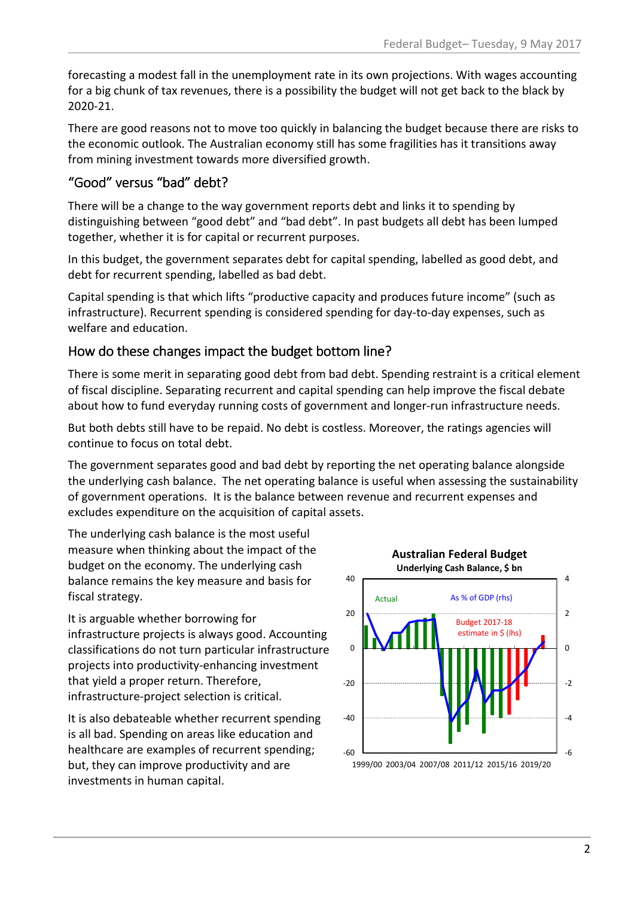forecasting a modest fall in the unemployment rate in its own projections. With wages accounting for a big chunk of tax revenues, there is a possibility the budget will not get back to the black by 2020-21.

There are good reasons not to move too quickly in balancing the budget because there are risks to the economic outlook. The Australian economy still has some fragilities has it transitions away from mining investment towards more diversified growth.

### "Good" versus "bad" debt?

There will be a change to the way government reports debt and links it to spending by distinguishing between "good debt" and "bad debt". In past budgets all debt has been lumped together, whether it is for capital or recurrent purposes.

In this budget, the government separates debt for capital spending, labelled as good debt, and debt for recurrent spending, labelled as bad debt.

Capital spending is that which lifts "productive capacity and produces future income" (such as infrastructure). Recurrent spending is considered spending for day-to-day expenses, such as welfare and education.

### How do these changes impact the budget bottom line?

There is some merit in separating good debt from bad debt. Spending restraint is a critical element of fiscal discipline. Separating recurrent and capital spending can help improve the fiscal debate about how to fund everyday running costs of government and longer-run infrastructure needs.

But both debts still have to be repaid. No debt is costless. Moreover, the ratings agencies will continue to focus on total debt.

The government separates good and bad debt by reporting the net operating balance alongside the underlying cash balance. The net operating balance is useful when assessing the sustainability of government operations. It is the balance between revenue and recurrent expenses and excludes expenditure on the acquisition of capital assets.

The underlying cash balance is the most useful measure when thinking about the impact of the budget on the economy. The underlying cash balance remains the key measure and basis for fiscal strategy.

It is arguable whether borrowing for infrastructure projects is always good. Accounting classifications do not turn particular infrastructure projects into productivity-enhancing investment that yield a proper return. Therefore, infrastructure-project selection is critical.

It is also debateable whether recurrent spending is all bad. Spending on areas like education and healthcare are examples of recurrent spending; but, they can improve productivity and are investments in human capital.

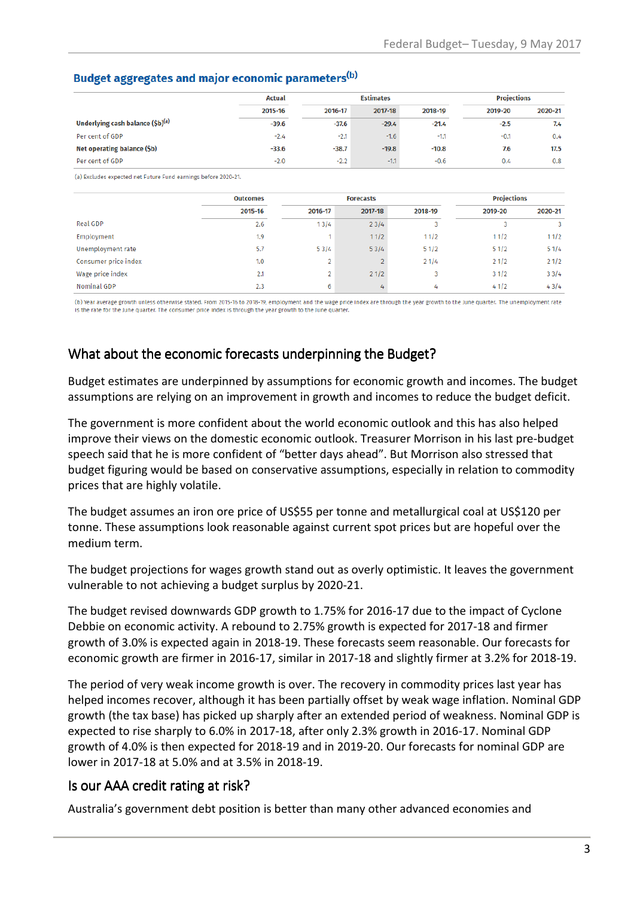#### Budget aggregates and major economic parameters<sup>(b)</sup>

|                                              | <b>Actual</b> |         | <b>Estimates</b> |         |         | <b>Projections</b> |  |
|----------------------------------------------|---------------|---------|------------------|---------|---------|--------------------|--|
|                                              | 2015-16       | 2016-17 | 2017-18          | 2018-19 | 2019-20 | 2020-21            |  |
| Underlying cash balance (\$b) <sup>(a)</sup> | $-39.6$       | $-37.6$ | $-29.4$          | $-21.4$ | $-2.5$  | 7.4                |  |
| Per cent of GDP                              | $-2.4$        | $-2.1$  | $-1.6$           | $-1.1$  | $-0.1$  | $0.4^{\circ}$      |  |
| Net operating balance (\$b)                  | $-33.6$       | $-38.7$ | $-19.8$          | $-10.8$ | 7.6     | 17.5               |  |
| Per cent of GDP                              | $-2.0$        | $-2.2$  | $-1.1$           | $-0.6$  | 0.4     | 0.8                |  |

(a) Excludes expected net Future Fund earnings before 2020-21.

|                      | <b>Outcomes</b> |         | <b>Forecasts</b> |         |         | <b>Projections</b> |  |
|----------------------|-----------------|---------|------------------|---------|---------|--------------------|--|
|                      | 2015-16         | 2016-17 | 2017-18          | 2018-19 | 2019-20 | 2020-21            |  |
| Real GDP             | 2.6             | 13/4    | 23/4             |         |         | 3                  |  |
| Employment           | 1.9             |         | 11/2             | 11/2    | 11/2    | 11/2               |  |
| Unemployment rate    | 5.7             | 53/4    | 53/4             | 51/2    | 51/2    | 51/4               |  |
| Consumer price index | 1.0             | n.      |                  | 21/4    | 21/2    | 21/2               |  |
| Wage price index     | 2.1             | 2       | 21/2             | 3       | 31/2    | 33/4               |  |
| Nominal GDP          | 2.3             | 6       | 4                | 4       | 41/2    | 43/4               |  |

(b) Year average growth unless otherwise stated. From 2015-16 to 2018-19, employment and the wage price index are through the year growth to the June quarter. The unemployment rate is the rate for the June quarter. The consumer price index is through the year growth to the June quarter

#### What about the economic forecasts underpinning the Budget?

Budget estimates are underpinned by assumptions for economic growth and incomes. The budget assumptions are relying on an improvement in growth and incomes to reduce the budget deficit.

The government is more confident about the world economic outlook and this has also helped improve their views on the domestic economic outlook. Treasurer Morrison in his last pre-budget speech said that he is more confident of "better days ahead". But Morrison also stressed that budget figuring would be based on conservative assumptions, especially in relation to commodity prices that are highly volatile.

The budget assumes an iron ore price of US\$55 per tonne and metallurgical coal at US\$120 per tonne. These assumptions look reasonable against current spot prices but are hopeful over the medium term.

The budget projections for wages growth stand out as overly optimistic. It leaves the government vulnerable to not achieving a budget surplus by 2020-21.

The budget revised downwards GDP growth to 1.75% for 2016-17 due to the impact of Cyclone Debbie on economic activity. A rebound to 2.75% growth is expected for 2017-18 and firmer growth of 3.0% is expected again in 2018-19. These forecasts seem reasonable. Our forecasts for economic growth are firmer in 2016-17, similar in 2017-18 and slightly firmer at 3.2% for 2018-19.

The period of very weak income growth is over. The recovery in commodity prices last year has helped incomes recover, although it has been partially offset by weak wage inflation. Nominal GDP growth (the tax base) has picked up sharply after an extended period of weakness. Nominal GDP is expected to rise sharply to 6.0% in 2017-18, after only 2.3% growth in 2016-17. Nominal GDP growth of 4.0% is then expected for 2018-19 and in 2019-20. Our forecasts for nominal GDP are lower in 2017-18 at 5.0% and at 3.5% in 2018-19.

#### Is our AAA credit rating at risk?

Australia's government debt position is better than many other advanced economies and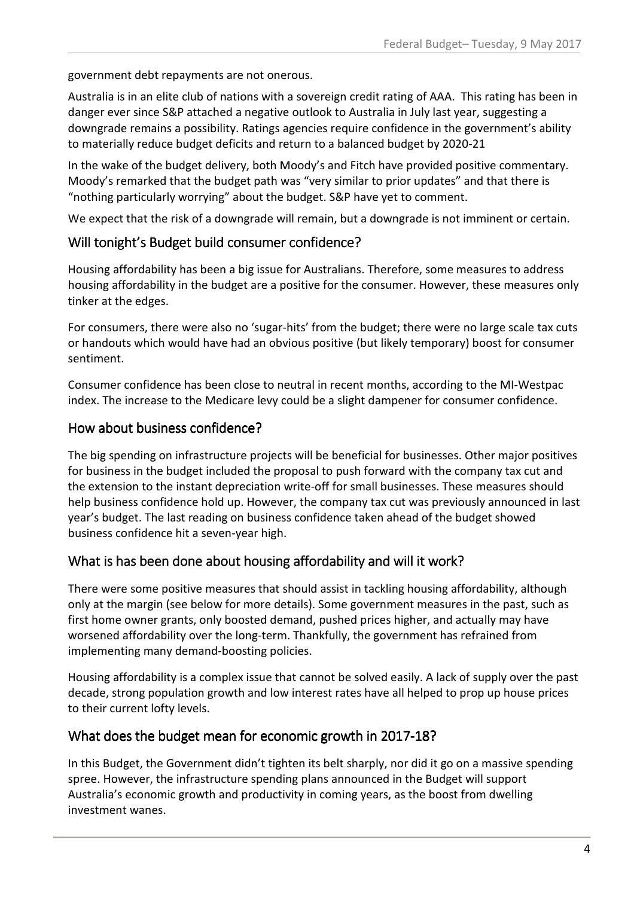government debt repayments are not onerous.

Australia is in an elite club of nations with a sovereign credit rating of AAA. This rating has been in danger ever since S&P attached a negative outlook to Australia in July last year, suggesting a downgrade remains a possibility. Ratings agencies require confidence in the government's ability to materially reduce budget deficits and return to a balanced budget by 2020-21

In the wake of the budget delivery, both Moody's and Fitch have provided positive commentary. Moody's remarked that the budget path was "very similar to prior updates" and that there is "nothing particularly worrying" about the budget. S&P have yet to comment.

We expect that the risk of a downgrade will remain, but a downgrade is not imminent or certain.

#### Will tonight's Budget build consumer confidence?

Housing affordability has been a big issue for Australians. Therefore, some measures to address housing affordability in the budget are a positive for the consumer. However, these measures only tinker at the edges.

For consumers, there were also no 'sugar-hits' from the budget; there were no large scale tax cuts or handouts which would have had an obvious positive (but likely temporary) boost for consumer sentiment.

Consumer confidence has been close to neutral in recent months, according to the MI-Westpac index. The increase to the Medicare levy could be a slight dampener for consumer confidence.

#### How about business confidence?

The big spending on infrastructure projects will be beneficial for businesses. Other major positives for business in the budget included the proposal to push forward with the company tax cut and the extension to the instant depreciation write-off for small businesses. These measures should help business confidence hold up. However, the company tax cut was previously announced in last year's budget. The last reading on business confidence taken ahead of the budget showed business confidence hit a seven-year high.

#### What is has been done about housing affordability and will it work?

There were some positive measures that should assist in tackling housing affordability, although only at the margin (see below for more details). Some government measures in the past, such as first home owner grants, only boosted demand, pushed prices higher, and actually may have worsened affordability over the long-term. Thankfully, the government has refrained from implementing many demand-boosting policies.

Housing affordability is a complex issue that cannot be solved easily. A lack of supply over the past decade, strong population growth and low interest rates have all helped to prop up house prices to their current lofty levels.

#### What does the budget mean for economic growth in 2017-18?

In this Budget, the Government didn't tighten its belt sharply, nor did it go on a massive spending spree. However, the infrastructure spending plans announced in the Budget will support Australia's economic growth and productivity in coming years, as the boost from dwelling investment wanes.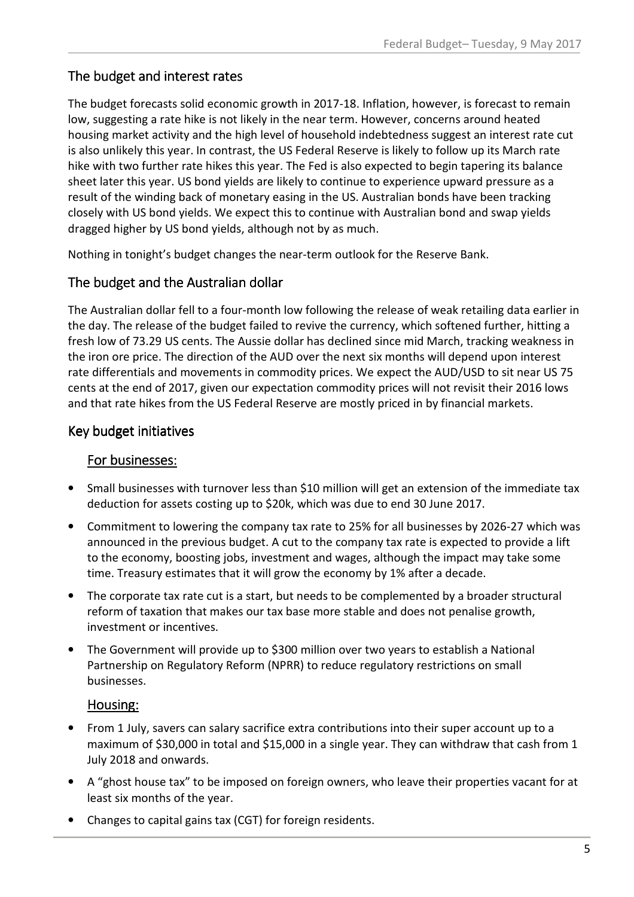### The budget and interest rates

The budget forecasts solid economic growth in 2017-18. Inflation, however, is forecast to remain low, suggesting a rate hike is not likely in the near term. However, concerns around heated housing market activity and the high level of household indebtedness suggest an interest rate cut is also unlikely this year. In contrast, the US Federal Reserve is likely to follow up its March rate hike with two further rate hikes this year. The Fed is also expected to begin tapering its balance sheet later this year. US bond yields are likely to continue to experience upward pressure as a result of the winding back of monetary easing in the US. Australian bonds have been tracking closely with US bond yields. We expect this to continue with Australian bond and swap yields dragged higher by US bond yields, although not by as much.

Nothing in tonight's budget changes the near-term outlook for the Reserve Bank.

#### The budget and the Australian dollar

The Australian dollar fell to a four-month low following the release of weak retailing data earlier in the day. The release of the budget failed to revive the currency, which softened further, hitting a fresh low of 73.29 US cents. The Aussie dollar has declined since mid March, tracking weakness in the iron ore price. The direction of the AUD over the next six months will depend upon interest rate differentials and movements in commodity prices. We expect the AUD/USD to sit near US 75 cents at the end of 2017, given our expectation commodity prices will not revisit their 2016 lows and that rate hikes from the US Federal Reserve are mostly priced in by financial markets.

#### Key budget initiatives

#### For businesses:

- Small businesses with turnover less than \$10 million will get an extension of the immediate tax deduction for assets costing up to \$20k, which was due to end 30 June 2017.
- Commitment to lowering the company tax rate to 25% for all businesses by 2026-27 which was announced in the previous budget. A cut to the company tax rate is expected to provide a lift to the economy, boosting jobs, investment and wages, although the impact may take some time. Treasury estimates that it will grow the economy by 1% after a decade.
- The corporate tax rate cut is a start, but needs to be complemented by a broader structural reform of taxation that makes our tax base more stable and does not penalise growth, investment or incentives.
- The Government will provide up to \$300 million over two years to establish a National Partnership on Regulatory Reform (NPRR) to reduce regulatory restrictions on small businesses.

#### Housing: Housing:

- From 1 July, savers can salary sacrifice extra contributions into their super account up to a maximum of \$30,000 in total and \$15,000 in a single year. They can withdraw that cash from 1 July 2018 and onwards.
- A "ghost house tax" to be imposed on foreign owners, who leave their properties vacant for at least six months of the year.
- Changes to capital gains tax (CGT) for foreign residents.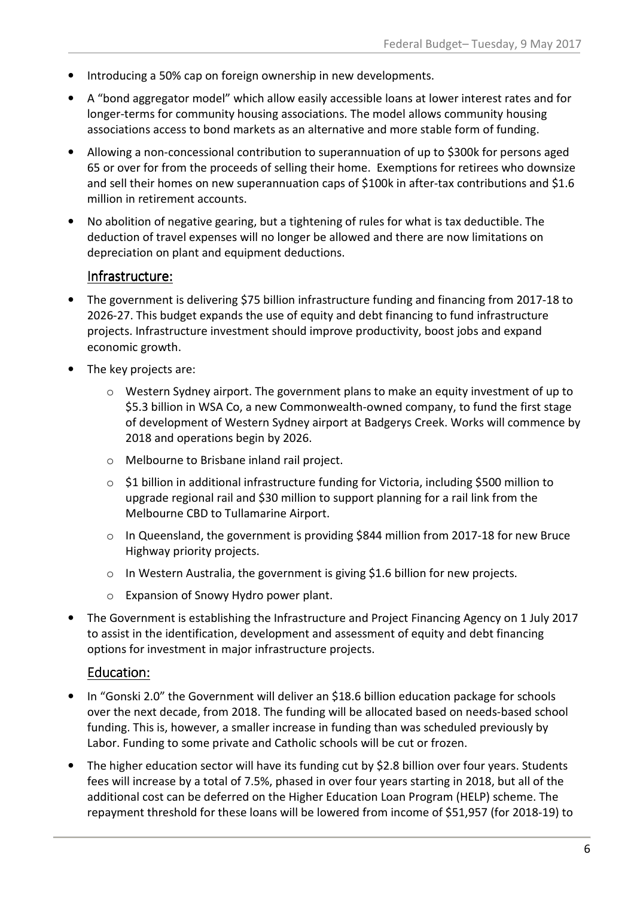- Introducing a 50% cap on foreign ownership in new developments.
- A "bond aggregator model" which allow easily accessible loans at lower interest rates and for longer-terms for community housing associations. The model allows community housing associations access to bond markets as an alternative and more stable form of funding.
- Allowing a non-concessional contribution to superannuation of up to \$300k for persons aged 65 or over for from the proceeds of selling their home. Exemptions for retirees who downsize and sell their homes on new superannuation caps of \$100k in after-tax contributions and \$1.6 million in retirement accounts.
- No abolition of negative gearing, but a tightening of rules for what is tax deductible. The deduction of travel expenses will no longer be allowed and there are now limitations on depreciation on plant and equipment deductions.

#### Infrastructure: Infrastructure:

- The government is delivering \$75 billion infrastructure funding and financing from 2017-18 to 2026-27. This budget expands the use of equity and debt financing to fund infrastructure projects. Infrastructure investment should improve productivity, boost jobs and expand economic growth.
- The key projects are:
	- $\circ$  Western Sydney airport. The government plans to make an equity investment of up to \$5.3 billion in WSA Co, a new Commonwealth-owned company, to fund the first stage of development of Western Sydney airport at Badgerys Creek. Works will commence by 2018 and operations begin by 2026.
	- o Melbourne to Brisbane inland rail project.
	- o \$1 billion in additional infrastructure funding for Victoria, including \$500 million to upgrade regional rail and \$30 million to support planning for a rail link from the Melbourne CBD to Tullamarine Airport.
	- o In Queensland, the government is providing \$844 million from 2017-18 for new Bruce Highway priority projects.
	- $\circ$  In Western Australia, the government is giving \$1.6 billion for new projects.
	- o Expansion of Snowy Hydro power plant.
- The Government is establishing the Infrastructure and Project Financing Agency on 1 July 2017 to assist in the identification, development and assessment of equity and debt financing options for investment in major infrastructure projects.

#### Education: Education:

- In "Gonski 2.0" the Government will deliver an \$18.6 billion education package for schools over the next decade, from 2018. The funding will be allocated based on needs-based school funding. This is, however, a smaller increase in funding than was scheduled previously by Labor. Funding to some private and Catholic schools will be cut or frozen.
- The higher education sector will have its funding cut by \$2.8 billion over four years. Students fees will increase by a total of 7.5%, phased in over four years starting in 2018, but all of the additional cost can be deferred on the Higher Education Loan Program (HELP) scheme. The repayment threshold for these loans will be lowered from income of \$51,957 (for 2018-19) to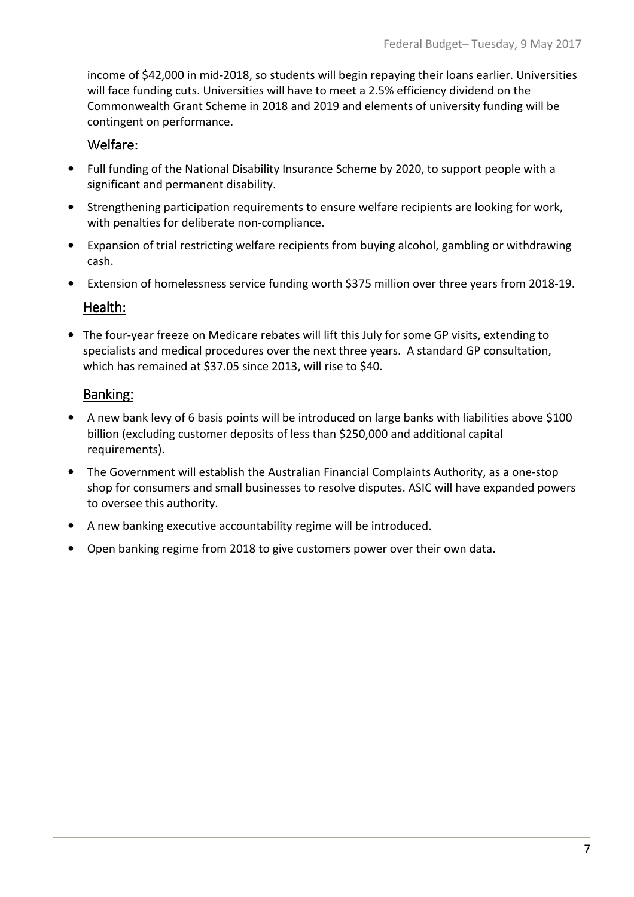income of \$42,000 in mid-2018, so students will begin repaying their loans earlier. Universities will face funding cuts. Universities will have to meet a 2.5% efficiency dividend on the Commonwealth Grant Scheme in 2018 and 2019 and elements of university funding will be contingent on performance.

### Welfare:

- Full funding of the National Disability Insurance Scheme by 2020, to support people with a significant and permanent disability.
- Strengthening participation requirements to ensure welfare recipients are looking for work, with penalties for deliberate non-compliance.
- Expansion of trial restricting welfare recipients from buying alcohol, gambling or withdrawing cash.
- Extension of homelessness service funding worth \$375 million over three years from 2018-19.

#### Health:

• The four-year freeze on Medicare rebates will lift this July for some GP visits, extending to specialists and medical procedures over the next three years. A standard GP consultation, which has remained at \$37.05 since 2013, will rise to \$40.

### Banking:

- A new bank levy of 6 basis points will be introduced on large banks with liabilities above \$100 billion (excluding customer deposits of less than \$250,000 and additional capital requirements).
- The Government will establish the Australian Financial Complaints Authority, as a one-stop shop for consumers and small businesses to resolve disputes. ASIC will have expanded powers to oversee this authority.
- A new banking executive accountability regime will be introduced.
- Open banking regime from 2018 to give customers power over their own data.